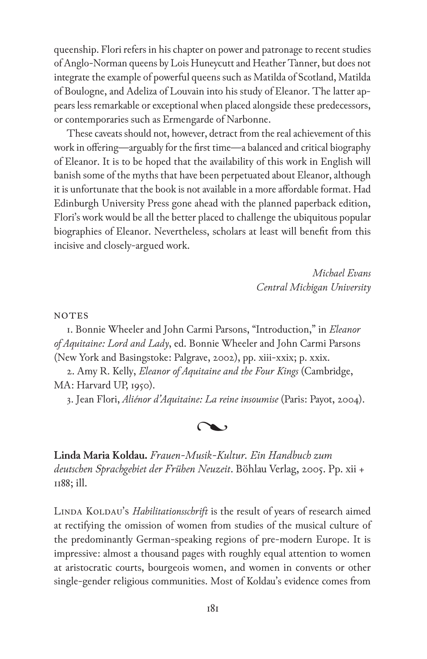queenship. Flori refers in his chapter on power and patronage to recent studies of Anglo-Norman queens by Lois Huneycutt and Heather Tanner, but does not integrate the example of powerful queens such as Matilda of Scotland, Matilda of Boulogne, and Adeliza of Louvain into his study of Eleanor. The latter appears less remarkable or exceptional when placed alongside these predecessors, or contemporaries such as Ermengarde of Narbonne.

These caveats should not, however, detract from the real achievement of this work in offering—arguably for the first time—a balanced and critical biography of Eleanor. It is to be hoped that the availability of this work in English will banish some of the myths that have been perpetuated about Eleanor, although it is unfortunate that the book is not available in a more affordable format. Had Edinburgh University Press gone ahead with the planned paperback edition, Flori's work would be all the better placed to challenge the ubiquitous popular biographies of Eleanor. Nevertheless, scholars at least will benefit from this incisive and closely-argued work.

> *Michael Evans Central Michigan University*

**NOTES** 

1. Bonnie Wheeler and John Carmi Parsons, "Introduction," in *Eleanor of Aquitaine: Lord and Lady*, ed. Bonnie Wheeler and John Carmi Parsons (New York and Basingstoke: Palgrave, 2002), pp. xiii-xxix; p. xxix.

2. Amy R. Kelly, *Eleanor of Aquitaine and the Four Kings* (Cambridge, MA: Harvard UP, 1950).

3. Jean Flori, *Aliénor d'Aquitaine: La reine insoumise* (Paris: Payot, 2004).



**Linda Maria Koldau.** *Frauen-Musik-Kultur. Ein Handbuch zum deutschen Sprachgebiet der Frühen Neuzeit*. Böhlau Verlag, 2005. Pp. xii + 1188; ill.

LINDA KOLDAU's *Habilitationsschrift* is the result of years of research aimed at rectifying the omission of women from studies of the musical culture of the predominantly German-speaking regions of pre-modern Europe. It is impressive: almost a thousand pages with roughly equal attention to women at aristocratic courts, bourgeois women, and women in convents or other single-gender religious communities. Most of Koldau's evidence comes from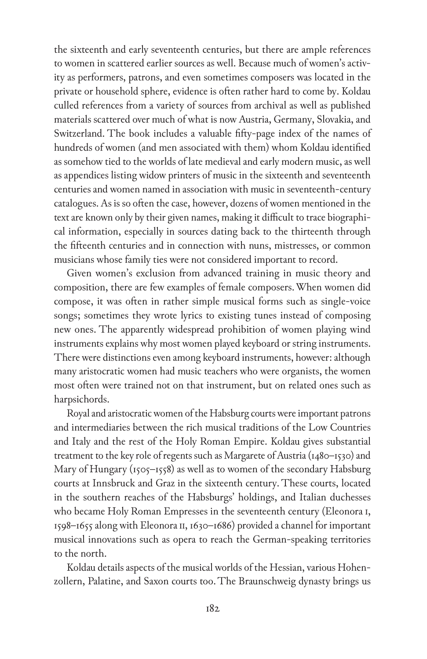the sixteenth and early seventeenth centuries, but there are ample references to women in scattered earlier sources as well. Because much of women's activity as performers, patrons, and even sometimes composers was located in the private or household sphere, evidence is often rather hard to come by. Koldau culled references from a variety of sources from archival as well as published materials scattered over much of what is now Austria, Germany, Slovakia, and Switzerland. The book includes a valuable fifty-page index of the names of hundreds of women (and men associated with them) whom Koldau identified as somehow tied to the worlds of late medieval and early modern music, as well as appendices listing widow printers of music in the sixteenth and seventeenth centuries and women named in association with music in seventeenth-century catalogues. As is so often the case, however, dozens of women mentioned in the text are known only by their given names, making it difficult to trace biographical information, especially in sources dating back to the thirteenth through the fifteenth centuries and in connection with nuns, mistresses, or common musicians whose family ties were not considered important to record.

Given women's exclusion from advanced training in music theory and composition, there are few examples of female composers. When women did compose, it was often in rather simple musical forms such as single-voice songs; sometimes they wrote lyrics to existing tunes instead of composing new ones. The apparently widespread prohibition of women playing wind instruments explains why most women played keyboard or string instruments. There were distinctions even among keyboard instruments, however: although many aristocratic women had music teachers who were organists, the women most often were trained not on that instrument, but on related ones such as harpsichords.

Royal and aristocratic women of the Habsburg courts were important patrons and intermediaries between the rich musical traditions of the Low Countries and Italy and the rest of the Holy Roman Empire. Koldau gives substantial treatment to the key role of regents such as Margarete of Austria (1480–1530) and Mary of Hungary (1505–1558) as well as to women of the secondary Habsburg courts at Innsbruck and Graz in the sixteenth century. These courts, located in the southern reaches of the Habsburgs' holdings, and Italian duchesses who became Holy Roman Empresses in the seventeenth century (Eleonora i, 1598–1655 along with Eleonora ii, 1630–1686) provided a channel for important musical innovations such as opera to reach the German-speaking territories to the north.

Koldau details aspects of the musical worlds of the Hessian, various Hohenzollern, Palatine, and Saxon courts too. The Braunschweig dynasty brings us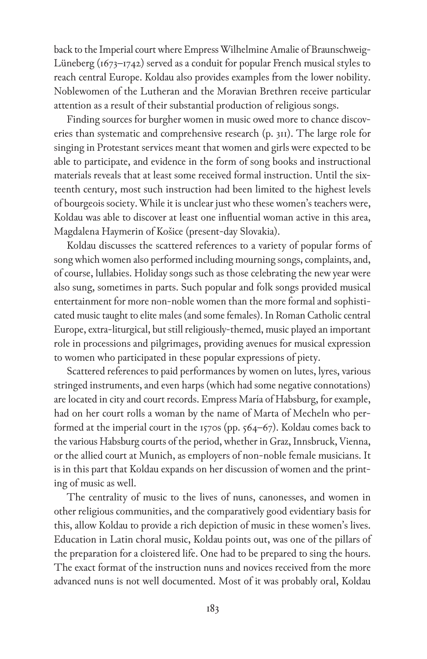back to the Imperial court where Empress Wilhelmine Amalie of Braunschweig-Lüneberg (1673–1742) served as a conduit for popular French musical styles to reach central Europe. Koldau also provides examples from the lower nobility. Noblewomen of the Lutheran and the Moravian Brethren receive particular attention as a result of their substantial production of religious songs.

Finding sources for burgher women in music owed more to chance discoveries than systematic and comprehensive research (p. 311). The large role for singing in Protestant services meant that women and girls were expected to be able to participate, and evidence in the form of song books and instructional materials reveals that at least some received formal instruction. Until the sixteenth century, most such instruction had been limited to the highest levels of bourgeois society. While it is unclear just who these women's teachers were, Koldau was able to discover at least one influential woman active in this area, Magdalena Haymerin of Košice (present-day Slovakia).

Koldau discusses the scattered references to a variety of popular forms of song which women also performed including mourning songs, complaints, and, of course, lullabies. Holiday songs such as those celebrating the new year were also sung, sometimes in parts. Such popular and folk songs provided musical entertainment for more non-noble women than the more formal and sophisticated music taught to elite males (and some females). In Roman Catholic central Europe, extra-liturgical, but still religiously-themed, music played an important role in processions and pilgrimages, providing avenues for musical expression to women who participated in these popular expressions of piety.

Scattered references to paid performances by women on lutes, lyres, various stringed instruments, and even harps (which had some negative connotations) are located in city and court records. Empress María of Habsburg, for example, had on her court rolls a woman by the name of Marta of Mecheln who performed at the imperial court in the 1570s (pp. 564–67). Koldau comes back to the various Habsburg courts of the period, whether in Graz, Innsbruck, Vienna, or the allied court at Munich, as employers of non-noble female musicians. It is in this part that Koldau expands on her discussion of women and the printing of music as well.

The centrality of music to the lives of nuns, canonesses, and women in other religious communities, and the comparatively good evidentiary basis for this, allow Koldau to provide a rich depiction of music in these women's lives. Education in Latin choral music, Koldau points out, was one of the pillars of the preparation for a cloistered life. One had to be prepared to sing the hours. The exact format of the instruction nuns and novices received from the more advanced nuns is not well documented. Most of it was probably oral, Koldau